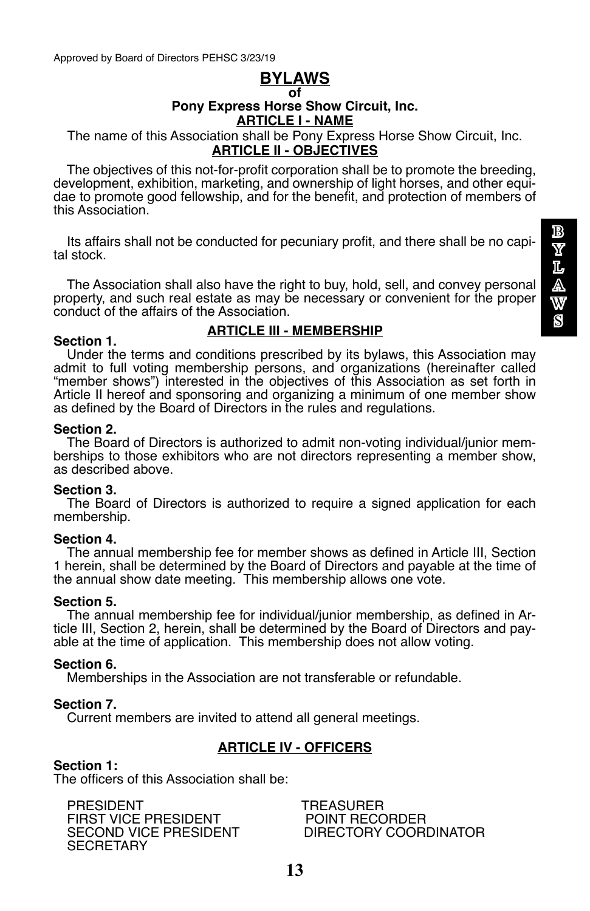# **BYLAWS**

#### **of**

## **Pony Express Horse Show Circuit, Inc.**

## **ARTICLE I - NAME**

The name of this Association shall be Pony Express Horse Show Circuit, Inc. **ARTICLE II - OBJECTIVES**

The objectives of this not-for-profit corporation shall be to promote the breeding, development, exhibition, marketing, and ownership of light horses, and other equidae to promote good fellowship, and for the benefit, and protection of members of this Association.

 Its affairs shall not be conducted for pecuniary profit, and there shall be no capital stock.

 The Association shall also have the right to buy, hold, sell, and convey personal property, and such real estate as may be necessary or convenient for the proper conduct of the affairs of the Association.

#### **Section 1.**

#### **ARTICLE III - MEMBERSHIP**

Under the terms and conditions prescribed by its bylaws, this Association may admit to full voting membership persons, and organizations (hereinafter called "member shows") interested in the objectives of this Association as set forth in Article II hereof and sponsoring and organizing a minimum of one member show as defined by the Board of Directors in the rules and regulations.

#### **Section 2.**

The Board of Directors is authorized to admit non-voting individual/junior memberships to those exhibitors who are not directors representing a member show, as described above.

#### **Section 3.**

The Board of Directors is authorized to require a signed application for each membership.

#### **Section 4.**

The annual membership fee for member shows as defined in Article III, Section 1 herein, shall be determined by the Board of Directors and payable at the time of the annual show date meeting. This membership allows one vote.

**Section 5.**<br>The annual membership fee for individual/junior membership, as defined in Article III, Section 2, herein, shall be determined by the Board of Directors and pay-<br>able at the time of application. This membership does not allow voting.

#### **Section 6.**

Memberships in the Association are not transferable or refundable.

#### **Section 7.**

Current members are invited to attend all general meetings.

### **ARTICLE IV - OFFICERS**

#### **Section 1:**

The officers of this Association shall be:

PRESIDENT TREASURER SECOND VICE PRESIDENT **SECRETARY** 

FIRST VICE PRESIDENT POINT RECORDER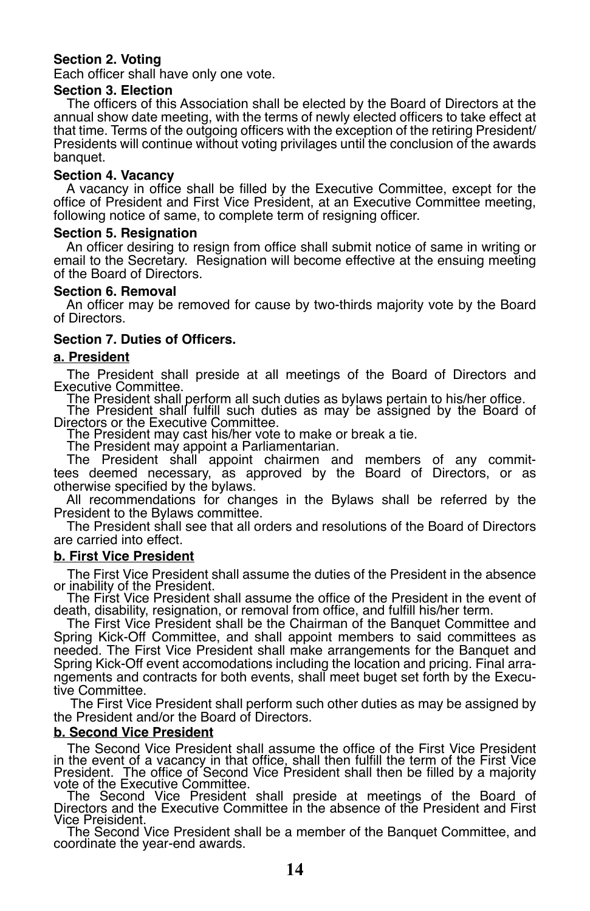## **Section 2. Voting**

Each officer shall have only one vote.

#### **Section 3. Election**

 The officers of this Association shall be elected by the Board of Directors at the annual show date meeting, with the terms of newly elected officers to take effect at that time. Terms of the outgoing officers with the exception of the retiring President/ Presidents will continue without voting privilages until the conclusion of the awards banquet.

#### **Section 4. Vacancy**

 A vacancy in office shall be filled by the Executive Committee, except for the office of President and First Vice President, at an Executive Committee meeting, following notice of same, to complete term of resigning officer.

#### **Section 5. Resignation**

 An officer desiring to resign from office shall submit notice of same in writing or email to the Secretary. Resignation will become effective at the ensuing meeting of the Board of Directors.

#### **Section 6. Removal**

 An officer may be removed for cause by two-thirds majority vote by the Board of Directors.

## **Section 7. Duties of Officers.**

#### **a. President**

 The President shall preside at all meetings of the Board of Directors and Executive Committee.

The President shall perform all such duties as bylaws pertain to his/her office.

 The President shall fulfill such duties as may be assigned by the Board of Directors or the Executive Committee.

The President may cast his/her vote to make or break a tie.

The President may appoint a Parliamentarian.

The President shall appoint chairmen and members of any commit-<br>es deemed necessary, as approved by the Board of Directors, or as tees deemed necessary, as approved by the Board of Directors, or otherwise specified by the bylaws.

 All recommendations for changes in the Bylaws shall be referred by the President to the Bylaws committee.

The President shall see that all orders and resolutions of the Board of Directors are carried into effect.

#### **b. First Vice President**

The First Vice President shall assume the duties of the President in the absence or inability of the President.

 The First Vice President shall assume the office of the President in the event of death, disability, resignation, or removal from office, and fulfill his/her term.

The First Vice President shall be the Chairman of the Banquet Committee and Spring Kick-Off Committee, and shall appoint members to said committees as needed. The First Vice President shall make arrangements for the Banquet and Spring Kick-Off event accomodations including the location and pricing. Final arrangements and contracts for both events, shall meet buget set forth by the Executive Committee.

 The First Vice President shall perform such other duties as may be assigned by the President and/or the Board of Directors.

#### **b. Second Vice President**

The Second Vice President shall assume the office of the First Vice President in the event of a vacancy in that office, shall then fulfill the term of the First Vice President. The office of Second Vice President shall then be filled by a majority<br>vote of the Executive Committee.

 The Second Vice President shall preside at meetings of the Board of Directors and the Executive Committee in the absence of the President and First Vice Preisident.

 The Second Vice President shall be a member of the Banquet Committee, and coordinate the year-end awards.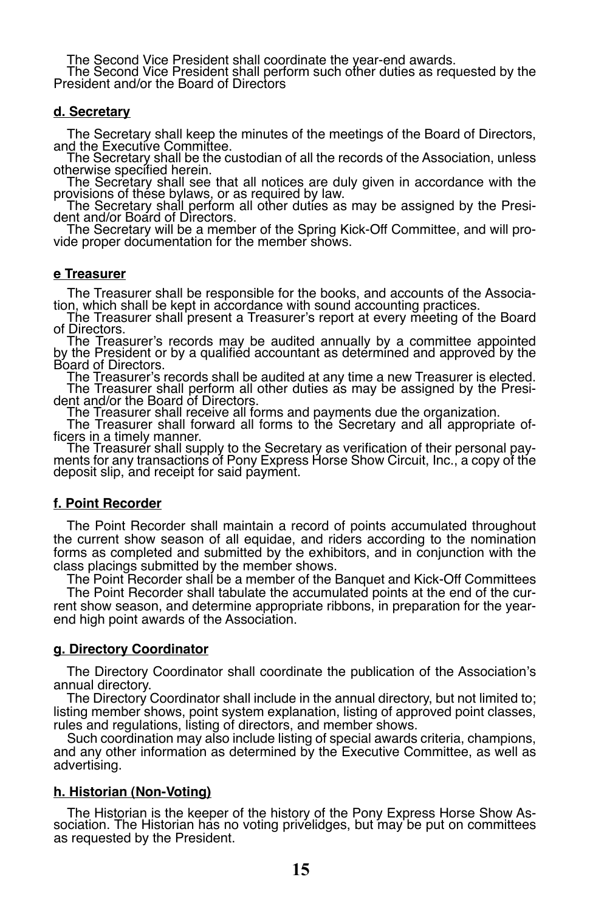The Second Vice President shall coordinate the year-end awards. The Second Vice President shall perform such other duties as requested by the President and/or the Board of Directors

#### **d. Secretary**

The Secretary shall keep the minutes of the meetings of the Board of Directors, and the Executive Committee.

The Secretary shall be the custodian of all the records of the Association, unless otherwise specified herein.

 The Secretary shall see that all notices are duly given in accordance with the provisions of these bylaws, or as required by law.

The Secretary shall perform all other duties as may be assigned by the Presi-<br>dent and/or Board of Directors.

The Secretary will be <sup>a</sup> member of the Spring Kick-Off Committee, and will pro- vide proper documentation for the member shows.

#### **e Treasurer**

The Treasurer shall be responsible for the books, and accounts of the Association, which shall be kept in accordance with sound accounting practices.<br>The Treasurer shall present a Treasurer's report at every meeting of the

of Directors.<br>The Treasurer's records may be audited annually by a committee appointed

by the President or by a qualified accountant as determined and approved by the Board of Directors.

The Treasurer's records shall be audited at any time a new Treasurer is elected. The Treasurer shall perform all other duties as may be assigned by the Presi- dent and/or the Board of Directors.

The Treasurer shall receive all forms and payments due the organization. The Treasurer shall forward all forms to the Secretary and all appropriate of- ficers in <sup>a</sup> timely manner.

 The Treasurer shall supply to the Secretary as verification of their personal pay- ments for any transactions of Pony Express Horse Show Circuit, Inc., a copy of the deposit slip, and receipt for said payment.

#### **f. Point Recorder**

 The Point Recorder shall maintain a record of points accumulated throughout the current show season of all equidae, and riders according to the nomination forms as completed and submitted by the exhibitors, and in conjunction with the class placings submitted by the member shows.

The Point Recorder shall be a member of the Banquet and Kick-Off Committees

The Point Recorder shall tabulate the accumulated points at the end of the current show season, and determine appropriate ribbons, in preparation for the yearend high point awards of the Association.

#### **g. Directory Coordinator**

The Directory Coordinator shall coordinate the publication of the Association's annual directory.

The Directory Coordinator shall include in the annual directory, but not limited to; listing member shows, point system explanation, listing of approved point classes, rules and regulations, listing of directors, and member shows.

 Such coordination may also include listing of special awards criteria, champions, and any other information as determined by the Executive Committee, as well as advertising.

### **h. Historian (Non-Voting)**

The Historian is the keeper of the history of the Pony Express Horse Show As- sociation. The Historian has no voting privelidges, but may be put on committees as requested by the President.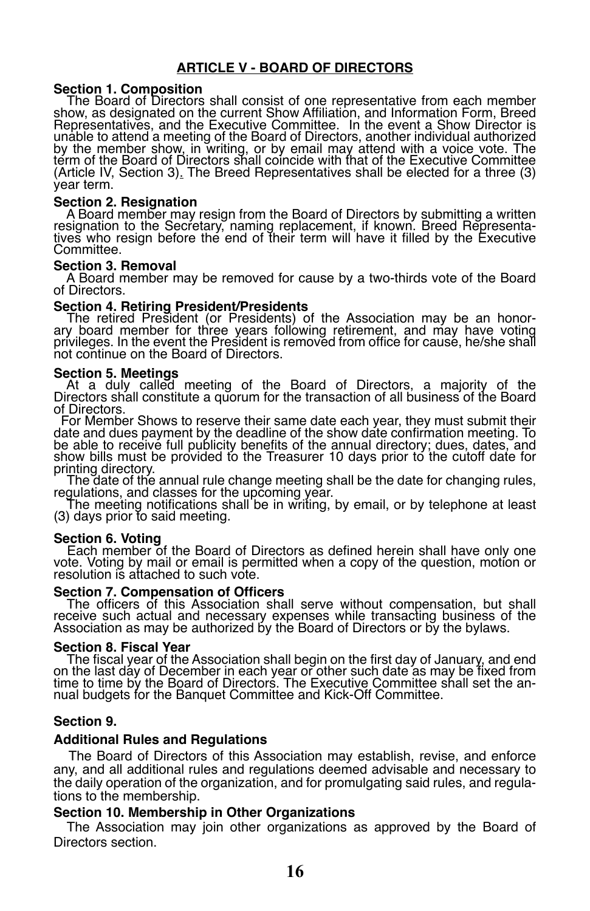## **ARTICLE V - BOARD OF DIRECTORS**

**Section 1. Composition**<br>The Board of Directors shall consist of one representative from each member<br>show, as designated on the current Show Affiliation, and Information Form, Breed Representatives, and the Executive Committee. In the event a Show Director is unable to attend a meeting of the Board of Directors, another individual authorized by the member show, in writing, or by email may attend with a voice vote. The term of the Board of Directors shall coincide with that of the Executive Committee (Article IV, Section 3). The Breed Representatives shall be elected for a three (3) year term.

#### **Section 2. Resignation**

 A Board member may resign from the Board of Directors by submitting a written resignation to the Secretary, naming replacement, if known. Breed Representa- tives who resign before the end of their term will have it filled by the Executive Committee.

## **Section 3. Removal**

A Board member may be removed for cause by a two-thirds vote of the Board of Directors.

**Section 4. Retiring President/Presidents**<br>The retired President (or Presidents) of the Association may be an honorary board member for three years following retirement, and may have voting<br>privileges. In the event the President is removed from office for cause, he/she shall not continue on the Board of Directors.

#### **Section 5. Meetings**

 At a duly called meeting of the Board of Directors, a majority of the Directors shall constitute a quorum for the transaction of all business of the Board of Directors.

 For Member Shows to reserve their same date each year, they must submit their date and dues payment by the deadline of the show date confirmation meeting. To be able to receive full publicity benefits of the annual directory; dues, dates, and show bills must be provided to the Treasurer 10 days prior to the cutoff date for

printing directory.<br> The date of the annual rule change meeting shall be the date for changing rules,<br>regulations, and classes for the upcoming year.

The meeting notifications shall be in writing, by email, or by telephone at least (3) days prior to said meeting.

#### **Section 6. Voting**

 Each member of the Board of Directors as defined herein shall have only one vote. Voting by mail or email is permitted when a copy of the question, motion or resolution is attached to such vote.

#### **Section 7. Compensation of Officers**

 The officers of this Association shall serve without compensation, but shall receive such actual and necessary expenses while transacting business of the Association as may be authorized by the Board of Directors or by the bylaws.

#### **Section 8. Fiscal Year**

 The fiscal year of the Association shall begin on the first day of January, and end on the last day of December in each year or other such date as may be fixed from time to time by the Board of Directors. The Executive Committee shall set the an-<br>nual budgets for the Banquet Committee and Kick-Off Committee.

#### **Section 9.**

#### **Additional Rules and Regulations**

 The Board of Directors of this Association may establish, revise, and enforce any, and all additional rules and regulations deemed advisable and necessary to the daily operation of the organization, and for promulgating said rules, and regulations to the membership.

#### **Section 10. Membership in Other Organizations**

 The Association may join other organizations as approved by the Board of Directors section.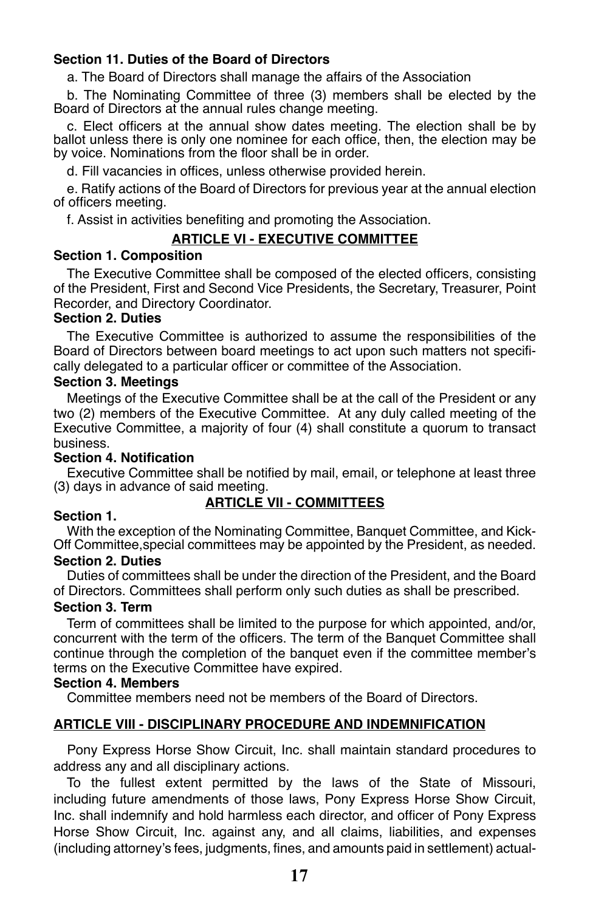## **Section 11. Duties of the Board of Directors**

a. The Board of Directors shall manage the affairs of the Association

 b. The Nominating Committee of three (3) members shall be elected by the Board of Directors at the annual rules change meeting.

 c. Elect officers at the annual show dates meeting. The election shall be by ballot unless there is only one nominee for each office, then, the election may be by voice. Nominations from the floor shall be in order.

d. Fill vacancies in offices, unless otherwise provided herein.

e. Ratify actions of the Board of Directors for previous year at the annual election of officers meeting.

f. Assist in activities benefiting and promoting the Association.

### **ARTICLE VI - EXECUTIVE COMMITTEE**

#### **Section 1. Composition**

 The Executive Committee shall be composed of the elected officers, consisting of the President, First and Second Vice Presidents, the Secretary, Treasurer, Point Recorder, and Directory Coordinator.

## **Section 2. Duties**

 The Executive Committee is authorized to assume the responsibilities of the Board of Directors between board meetings to act upon such matters not specifically delegated to a particular officer or committee of the Association.

## **Section 3. Meetings**

 Meetings of the Executive Committee shall be at the call of the President or any two (2) members of the Executive Committee. At any duly called meeting of the Executive Committee, a majority of four (4) shall constitute a quorum to transact business.

#### **Section 4. Notification**

 Executive Committee shall be notified by mail, email, or telephone at least three (3) days in advance of said meeting.

### **Section 1.**

## **ARTICLE VII - COMMITTEES**

 With the exception of the Nominating Committee, Banquet Committee, and Kick-Off Committee,special committees may be appointed by the President, as needed.

#### **Section 2. Duties**

Duties of committees shall be under the direction of the President, and the Board of Directors. Committees shall perform only such duties as shall be prescribed.

#### **Section 3. Term**

Term of committees shall be limited to the purpose for which appointed, and/or, concurrent with the term of the officers. The term of the Banquet Committee shall continue through the completion of the banquet even if the committee member's terms on the Executive Committee have expired.

#### **Section 4. Members**

Committee members need not be members of the Board of Directors.

## **ARTICLE VIII - DISCIPLINARY PROCEDURE AND INDEMNIFICATION**

Pony Express Horse Show Circuit, Inc. shall maintain standard procedures to address any and all disciplinary actions.

To the fullest extent permitted by the laws of the State of Missouri, including future amendments of those laws, Pony Express Horse Show Circuit, Inc. shall indemnify and hold harmless each director, and officer of Pony Express Horse Show Circuit, Inc. against any, and all claims, liabilities, and expenses (including attorney's fees, judgments, fines, and amounts paid in settlement) actual